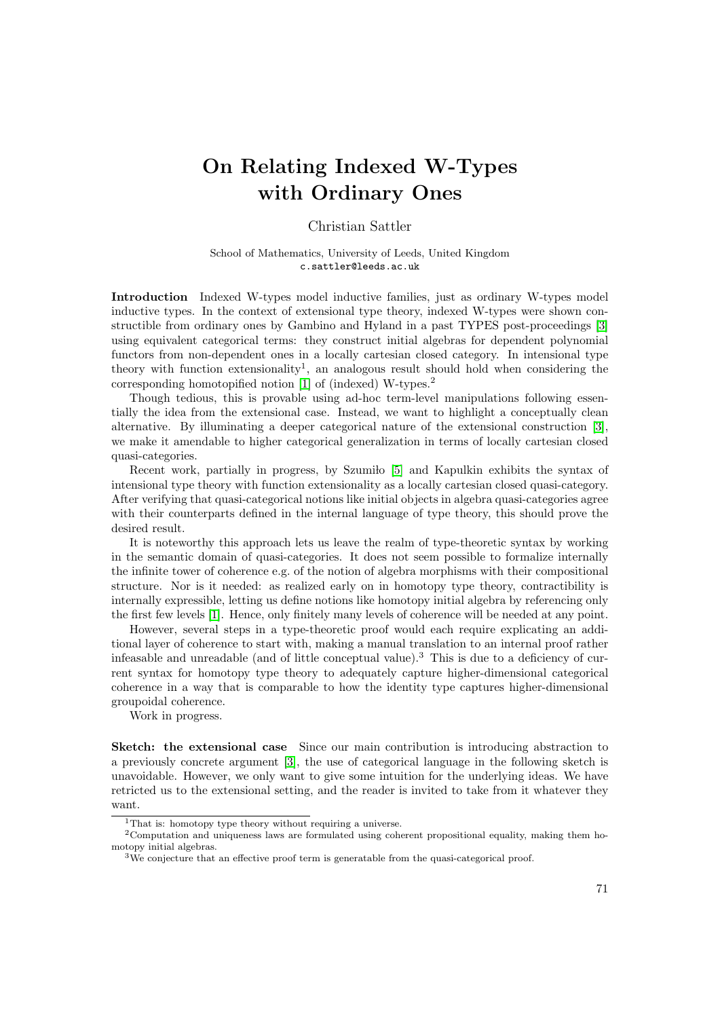## On Relating Indexed W-Types with Ordinary Ones

## Christian Sattler

School of Mathematics, University of Leeds, United Kingdom c.sattler@leeds.ac.uk

Introduction Indexed W-types model inductive families, just as ordinary W-types model inductive types. In the context of extensional type theory, indexed W-types were shown constructible from ordinary ones by Gambino and Hyland in a past TYPES post-proceedings [\[3\]](#page-1-0) using equivalent categorical terms: they construct initial algebras for dependent polynomial functors from non-dependent ones in a locally cartesian closed category. In intensional type theory with function extensionality<sup>1</sup>, an analogous result should hold when considering the corresponding homotopified notion [\[1\]](#page-1-1) of (indexed) W-types.<sup>2</sup>

Though tedious, this is provable using ad-hoc term-level manipulations following essentially the idea from the extensional case. Instead, we want to highlight a conceptually clean alternative. By illuminating a deeper categorical nature of the extensional construction [\[3\]](#page-1-0), we make it amendable to higher categorical generalization in terms of locally cartesian closed quasi-categories.

Recent work, partially in progress, by Szumilo [\[5\]](#page-1-2) and Kapulkin exhibits the syntax of intensional type theory with function extensionality as a locally cartesian closed quasi-category. After verifying that quasi-categorical notions like initial objects in algebra quasi-categories agree with their counterparts defined in the internal language of type theory, this should prove the desired result.

It is noteworthy this approach lets us leave the realm of type-theoretic syntax by working in the semantic domain of quasi-categories. It does not seem possible to formalize internally the infinite tower of coherence e.g. of the notion of algebra morphisms with their compositional structure. Nor is it needed: as realized early on in homotopy type theory, contractibility is internally expressible, letting us define notions like homotopy initial algebra by referencing only the first few levels [\[1\]](#page-1-1). Hence, only finitely many levels of coherence will be needed at any point.

However, several steps in a type-theoretic proof would each require explicating an additional layer of coherence to start with, making a manual translation to an internal proof rather infeasable and unreadable (and of little conceptual value).<sup>3</sup> This is due to a deficiency of current syntax for homotopy type theory to adequately capture higher-dimensional categorical coherence in a way that is comparable to how the identity type captures higher-dimensional groupoidal coherence.

Work in progress.

Sketch: the extensional case Since our main contribution is introducing abstraction to a previously concrete argument [\[3\]](#page-1-0), the use of categorical language in the following sketch is unavoidable. However, we only want to give some intuition for the underlying ideas. We have retricted us to the extensional setting, and the reader is invited to take from it whatever they want.

<sup>&</sup>lt;sup>1</sup>That is: homotopy type theory without requiring a universe.

<sup>2</sup>Computation and uniqueness laws are formulated using coherent propositional equality, making them homotopy initial algebras.

<sup>&</sup>lt;sup>3</sup>We conjecture that an effective proof term is generatable from the quasi-categorical proof.